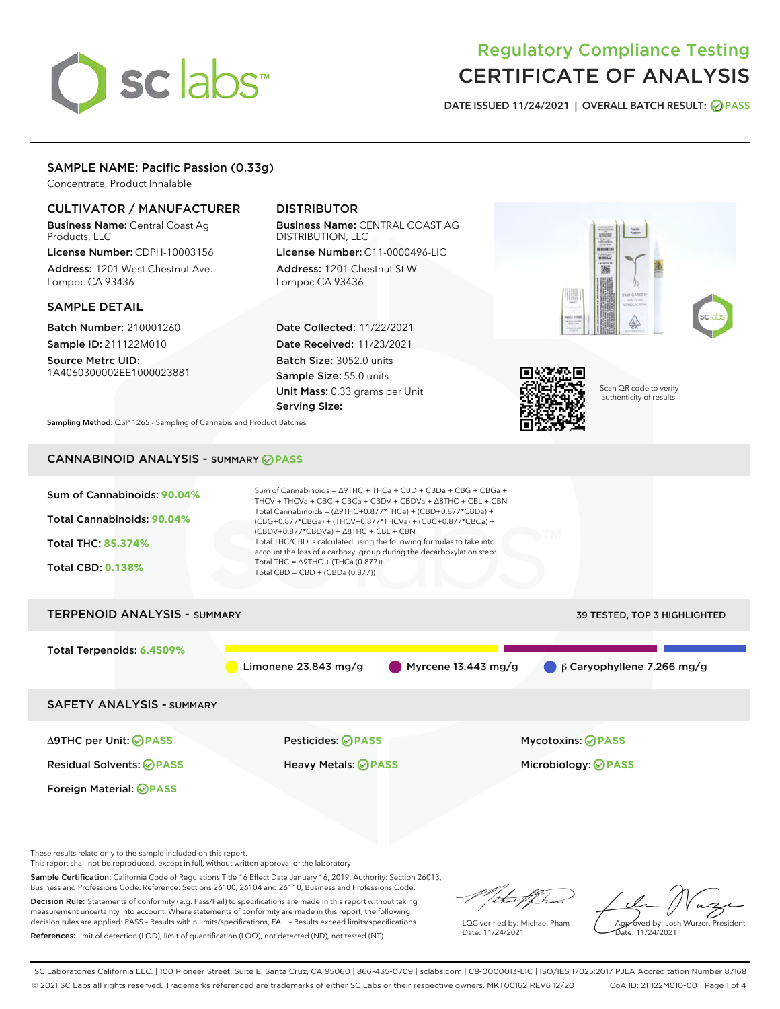# sclabs<sup>\*</sup>

# Regulatory Compliance Testing CERTIFICATE OF ANALYSIS

DATE ISSUED 11/24/2021 | OVERALL BATCH RESULT: @ PASS

# SAMPLE NAME: Pacific Passion (0.33g)

Concentrate, Product Inhalable

## CULTIVATOR / MANUFACTURER

Business Name: Central Coast Ag Products, LLC

License Number: CDPH-10003156 Address: 1201 West Chestnut Ave. Lompoc CA 93436

#### SAMPLE DETAIL

Batch Number: 210001260 Sample ID: 211122M010

Source Metrc UID: 1A4060300002EE1000023881

# DISTRIBUTOR

Business Name: CENTRAL COAST AG DISTRIBUTION, LLC License Number: C11-0000496-LIC

Address: 1201 Chestnut St W Lompoc CA 93436

Date Collected: 11/22/2021 Date Received: 11/23/2021 Batch Size: 3052.0 units Sample Size: 55.0 units Unit Mass: 0.33 grams per Unit Serving Size:





Scan QR code to verify authenticity of results.

Sampling Method: QSP 1265 - Sampling of Cannabis and Product Batches

# CANNABINOID ANALYSIS - SUMMARY **PASS**

| Sum of Cannabinoids: 90.04%<br>Total Cannabinoids: 90.04%<br><b>Total THC: 85.374%</b><br><b>Total CBD: 0.138%</b> | Sum of Cannabinoids = $\triangle$ 9THC + THCa + CBD + CBDa + CBG + CBGa +<br>THCV + THCVa + CBC + CBCa + CBDV + CBDVa + $\triangle$ 8THC + CBL + CBN<br>Total Cannabinoids = $(\Delta$ 9THC+0.877*THCa) + (CBD+0.877*CBDa) +<br>(CBG+0.877*CBGa) + (THCV+0.877*THCVa) + (CBC+0.877*CBCa) +<br>$(CBDV+0.877*CBDVa) + \Delta 8THC + CBL + CBN$<br>Total THC/CBD is calculated using the following formulas to take into<br>account the loss of a carboxyl group during the decarboxylation step:<br>Total THC = $\triangle$ 9THC + (THCa (0.877))<br>Total CBD = $CBD + (CBDa (0.877))$ |                                             |  |  |  |
|--------------------------------------------------------------------------------------------------------------------|---------------------------------------------------------------------------------------------------------------------------------------------------------------------------------------------------------------------------------------------------------------------------------------------------------------------------------------------------------------------------------------------------------------------------------------------------------------------------------------------------------------------------------------------------------------------------------------|---------------------------------------------|--|--|--|
| <b>TERPENOID ANALYSIS - SUMMARY</b>                                                                                |                                                                                                                                                                                                                                                                                                                                                                                                                                                                                                                                                                                       | 39 TESTED, TOP 3 HIGHLIGHTED                |  |  |  |
| Total Terpenoids: 6.4509%                                                                                          | Myrcene 13.443 mg/g<br>Limonene 23.843 mg/g                                                                                                                                                                                                                                                                                                                                                                                                                                                                                                                                           | $\bigcirc$ $\beta$ Caryophyllene 7.266 mg/g |  |  |  |
| <b>SAFETY ANALYSIS - SUMMARY</b>                                                                                   |                                                                                                                                                                                                                                                                                                                                                                                                                                                                                                                                                                                       |                                             |  |  |  |
| $\triangle$ 9THC per Unit: $\oslash$ PASS                                                                          | Pesticides: ⊘PASS                                                                                                                                                                                                                                                                                                                                                                                                                                                                                                                                                                     | <b>Mycotoxins: ⊘PASS</b>                    |  |  |  |

Foreign Material: **PASS**

Residual Solvents: **PASS** Heavy Metals: **PASS** Microbiology: **PASS**

These results relate only to the sample included on this report.

This report shall not be reproduced, except in full, without written approval of the laboratory.

Sample Certification: California Code of Regulations Title 16 Effect Date January 16, 2019. Authority: Section 26013, Business and Professions Code. Reference: Sections 26100, 26104 and 26110, Business and Professions Code.

Decision Rule: Statements of conformity (e.g. Pass/Fail) to specifications are made in this report without taking measurement uncertainty into account. Where statements of conformity are made in this report, the following decision rules are applied: PASS – Results within limits/specifications, FAIL – Results exceed limits/specifications. References: limit of detection (LOD), limit of quantification (LOQ), not detected (ND), not tested (NT)

that f h

LQC verified by: Michael Pham Date: 11/24/2021

Approved by: Josh Wurzer, President ate: 11/24/2021

SC Laboratories California LLC. | 100 Pioneer Street, Suite E, Santa Cruz, CA 95060 | 866-435-0709 | sclabs.com | C8-0000013-LIC | ISO/IES 17025:2017 PJLA Accreditation Number 87168 © 2021 SC Labs all rights reserved. Trademarks referenced are trademarks of either SC Labs or their respective owners. MKT00162 REV6 12/20 CoA ID: 211122M010-001 Page 1 of 4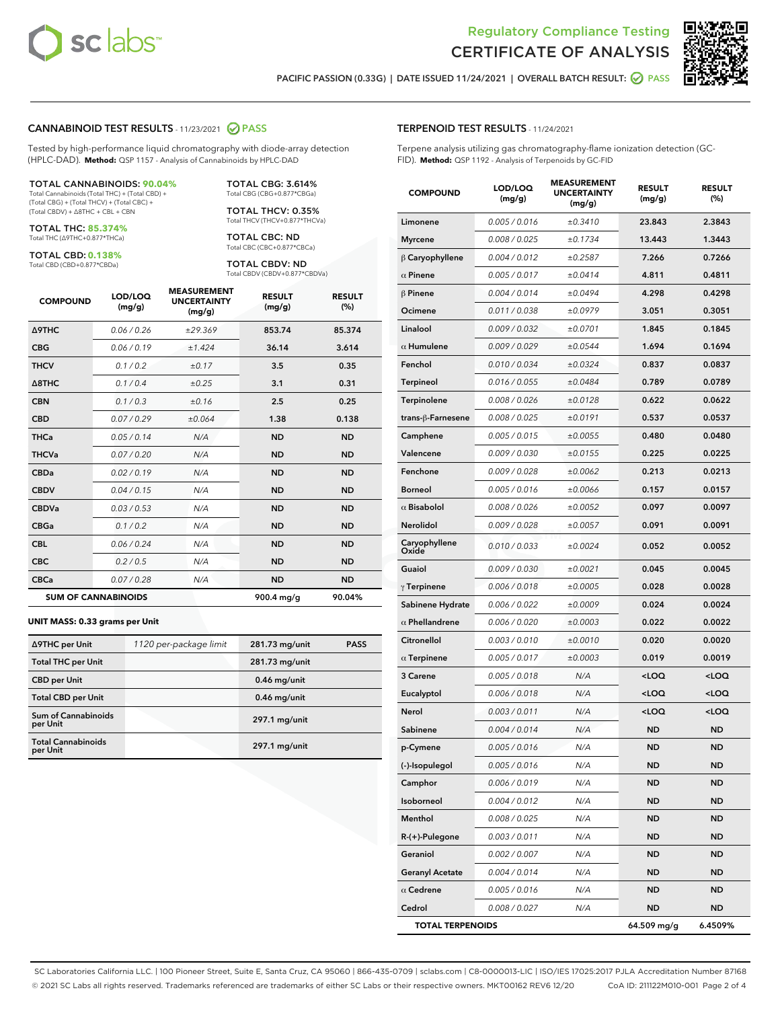



PACIFIC PASSION (0.33G) | DATE ISSUED 11/24/2021 | OVERALL BATCH RESULT: @ PASS

# CANNABINOID TEST RESULTS - 11/23/2021 @ PASS

Tested by high-performance liquid chromatography with diode-array detection (HPLC-DAD). **Method:** QSP 1157 - Analysis of Cannabinoids by HPLC-DAD

#### TOTAL CANNABINOIDS: **90.04%**

Total Cannabinoids (Total THC) + (Total CBD) + (Total CBG) + (Total THCV) + (Total CBC) + (Total CBDV) + ∆8THC + CBL + CBN

TOTAL THC: **85.374%** Total THC (∆9THC+0.877\*THCa)

TOTAL CBD: **0.138%** Total CBD (CBD+0.877\*CBDa)

TOTAL THCV: 0.35% Total THCV (THCV+0.877\*THCVa)

> TOTAL CBC: ND Total CBC (CBC+0.877\*CBCa)

TOTAL CBG: 3.614% Total CBG (CBG+0.877\*CBGa)

TOTAL CBDV: ND Total CBDV (CBDV+0.877\*CBDVa)

| <b>COMPOUND</b>            | LOD/LOQ<br>(mg/g) | <b>MEASUREMENT</b><br><b>UNCERTAINTY</b><br>(mg/g) | <b>RESULT</b><br>(mg/g) | <b>RESULT</b><br>(%) |
|----------------------------|-------------------|----------------------------------------------------|-------------------------|----------------------|
| <b>A9THC</b>               | 0.06 / 0.26       | ±29.369                                            | 853.74                  | 85.374               |
| <b>CBG</b>                 | 0.06 / 0.19       | ±1.424                                             | 36.14                   | 3.614                |
| <b>THCV</b>                | 0.1 / 0.2         | ±0.17                                              | 3.5                     | 0.35                 |
| $\triangle$ 8THC           | 0.1/0.4           | ±0.25                                              | 3.1                     | 0.31                 |
| <b>CBN</b>                 | 0.1/0.3           | ±0.16                                              | 2.5                     | 0.25                 |
| <b>CBD</b>                 | 0.07/0.29         | ±0.064                                             | 1.38                    | 0.138                |
| <b>THCa</b>                | 0.05/0.14         | N/A                                                | <b>ND</b>               | <b>ND</b>            |
| <b>THCVa</b>               | 0.07/0.20         | N/A                                                | <b>ND</b>               | <b>ND</b>            |
| <b>CBDa</b>                | 0.02/0.19         | N/A                                                | <b>ND</b>               | <b>ND</b>            |
| <b>CBDV</b>                | 0.04 / 0.15       | N/A                                                | <b>ND</b>               | <b>ND</b>            |
| <b>CBDVa</b>               | 0.03/0.53         | N/A                                                | <b>ND</b>               | <b>ND</b>            |
| <b>CBGa</b>                | 0.1 / 0.2         | N/A                                                | <b>ND</b>               | <b>ND</b>            |
| <b>CBL</b>                 | 0.06 / 0.24       | N/A                                                | <b>ND</b>               | <b>ND</b>            |
| <b>CBC</b>                 | 0.2 / 0.5         | N/A                                                | <b>ND</b>               | <b>ND</b>            |
| <b>CBCa</b>                | 0.07/0.28         | N/A                                                | <b>ND</b>               | <b>ND</b>            |
| <b>SUM OF CANNABINOIDS</b> |                   |                                                    | 900.4 mg/g              | 90.04%               |

#### **UNIT MASS: 0.33 grams per Unit**

| ∆9THC per Unit                         | 1120 per-package limit | 281.73 mg/unit  | <b>PASS</b> |
|----------------------------------------|------------------------|-----------------|-------------|
| <b>Total THC per Unit</b>              |                        | 281.73 mg/unit  |             |
| <b>CBD</b> per Unit                    |                        | $0.46$ mg/unit  |             |
| <b>Total CBD per Unit</b>              |                        | $0.46$ mg/unit  |             |
| <b>Sum of Cannabinoids</b><br>per Unit |                        | 297.1 mg/unit   |             |
| <b>Total Cannabinoids</b><br>per Unit  |                        | $297.1$ mg/unit |             |

# TERPENOID TEST RESULTS - 11/24/2021

Terpene analysis utilizing gas chromatography-flame ionization detection (GC-FID). **Method:** QSP 1192 - Analysis of Terpenoids by GC-FID

| <b>COMPOUND</b>         | LOD/LOQ<br>(mg/g)    | <b>MEASUREMENT</b><br><b>UNCERTAINTY</b><br>(mg/g) | <b>RESULT</b><br>(mg/g)                         | <b>RESULT</b><br>(%) |
|-------------------------|----------------------|----------------------------------------------------|-------------------------------------------------|----------------------|
| Limonene                | 0.005 / 0.016        | ±0.3410                                            | 23.843                                          | 2.3843               |
| <b>Myrcene</b>          | 0.008 / 0.025        | ±0.1734                                            | 13.443                                          | 1.3443               |
| $\beta$ Caryophyllene   | 0.004 / 0.012        | ±0.2587                                            | 7.266                                           | 0.7266               |
| $\alpha$ Pinene         | 0.005 / 0.017        | ±0.0414                                            | 4.811                                           | 0.4811               |
| <b>β Pinene</b>         | 0.004 / 0.014        | ±0.0494                                            | 4.298                                           | 0.4298               |
| Ocimene                 | 0.011 / 0.038        | ±0.0979                                            | 3.051                                           | 0.3051               |
| Linalool                | 0.009 / 0.032        | ±0.0701                                            | 1.845                                           | 0.1845               |
| $\alpha$ Humulene       | 0.009/0.029          | ±0.0544                                            | 1.694                                           | 0.1694               |
| Fenchol                 | 0.010 / 0.034        | ±0.0324                                            | 0.837                                           | 0.0837               |
| Terpineol               | 0.016 / 0.055        | ±0.0484                                            | 0.789                                           | 0.0789               |
| Terpinolene             | 0.008 / 0.026        | ±0.0128                                            | 0.622                                           | 0.0622               |
| trans-ß-Farnesene       | 0.008 / 0.025        | ±0.0191                                            | 0.537                                           | 0.0537               |
| Camphene                | 0.005 / 0.015        | ±0.0055                                            | 0.480                                           | 0.0480               |
| Valencene               | <i>0.009 / 0.030</i> | ±0.0155                                            | 0.225                                           | 0.0225               |
| Fenchone                | 0.009 / 0.028        | ±0.0062                                            | 0.213                                           | 0.0213               |
| <b>Borneol</b>          | 0.005 / 0.016        | ±0.0066                                            | 0.157                                           | 0.0157               |
| $\alpha$ Bisabolol      | 0.008 / 0.026        | ±0.0052                                            | 0.097                                           | 0.0097               |
| Nerolidol               | 0.009 / 0.028        | ±0.0057                                            | 0.091                                           | 0.0091               |
| Caryophyllene<br>Oxide  | 0.010 / 0.033        | ±0.0024                                            | 0.052                                           | 0.0052               |
| Guaiol                  | 0.009 / 0.030        | ±0.0021                                            | 0.045                                           | 0.0045               |
| $\gamma$ Terpinene      | 0.006 / 0.018        | ±0.0005                                            | 0.028                                           | 0.0028               |
| Sabinene Hydrate        | 0.006 / 0.022        | ±0.0009                                            | 0.024                                           | 0.0024               |
| $\alpha$ Phellandrene   | 0.006 / 0.020        | ±0.0003                                            | 0.022                                           | 0.0022               |
| Citronellol             | 0.003 / 0.010        | ±0.0010                                            | 0.020                                           | 0.0020               |
| $\alpha$ Terpinene      | 0.005 / 0.017        | ±0.0003                                            | 0.019                                           | 0.0019               |
| 3 Carene                | 0.005 / 0.018        | N/A                                                | <loq< th=""><th><loq< th=""></loq<></th></loq<> | <loq< th=""></loq<>  |
| Eucalyptol              | 0.006 / 0.018        | N/A                                                | <loq< th=""><th><loq< th=""></loq<></th></loq<> | <loq< th=""></loq<>  |
| Nerol                   | 0.003 / 0.011        | N/A                                                | <loq< th=""><th><loq< th=""></loq<></th></loq<> | <loq< th=""></loq<>  |
| Sabinene                | 0.004 / 0.014        | N/A                                                | ND                                              | <b>ND</b>            |
| p-Cymene                | 0.005 / 0.016        | N/A                                                | <b>ND</b>                                       | <b>ND</b>            |
| (-)-Isopulegol          | 0.005 / 0.016        | N/A                                                | ND                                              | ND                   |
| Camphor                 | 0.006 / 0.019        | N/A                                                | ND                                              | ND                   |
| Isoborneol              | 0.004 / 0.012        | N/A                                                | ND                                              | ND                   |
| Menthol                 | 0.008 / 0.025        | N/A                                                | ND                                              | ND                   |
| R-(+)-Pulegone          | 0.003 / 0.011        | N/A                                                | ND                                              | ND                   |
| Geraniol                | 0.002 / 0.007        | N/A                                                | ND                                              | ND                   |
| <b>Geranyl Acetate</b>  | 0.004 / 0.014        | N/A                                                | ND                                              | ND                   |
| $\alpha$ Cedrene        | 0.005 / 0.016        | N/A                                                | ND                                              | ND                   |
| Cedrol                  | 0.008 / 0.027        | N/A                                                | ND                                              | ND                   |
| <b>TOTAL TERPENOIDS</b> |                      |                                                    | 64.509 mg/g                                     | 6.4509%              |

SC Laboratories California LLC. | 100 Pioneer Street, Suite E, Santa Cruz, CA 95060 | 866-435-0709 | sclabs.com | C8-0000013-LIC | ISO/IES 17025:2017 PJLA Accreditation Number 87168 © 2021 SC Labs all rights reserved. Trademarks referenced are trademarks of either SC Labs or their respective owners. MKT00162 REV6 12/20 CoA ID: 211122M010-001 Page 2 of 4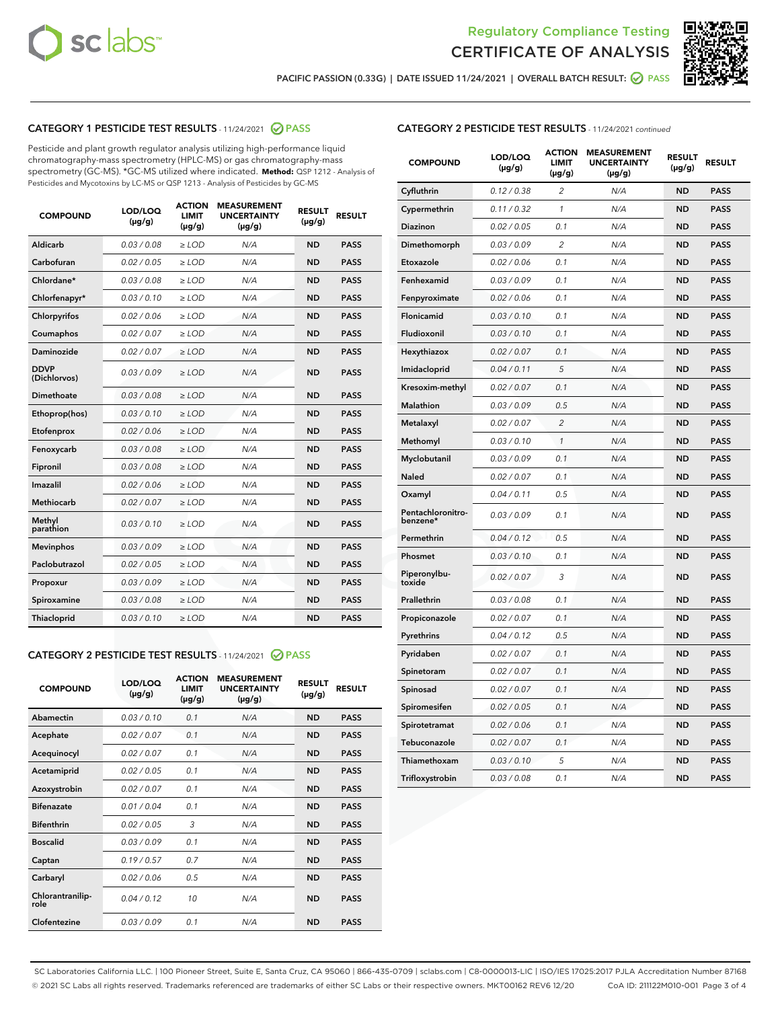



PACIFIC PASSION (0.33G) | DATE ISSUED 11/24/2021 | OVERALL BATCH RESULT: ◯ PASS

#### CATEGORY 1 PESTICIDE TEST RESULTS - 11/24/2021 @ PASS

Pesticide and plant growth regulator analysis utilizing high-performance liquid chromatography-mass spectrometry (HPLC-MS) or gas chromatography-mass spectrometry (GC-MS). \*GC-MS utilized where indicated. **Method:** QSP 1212 - Analysis of Pesticides and Mycotoxins by LC-MS or QSP 1213 - Analysis of Pesticides by GC-MS

| <b>COMPOUND</b>             | LOD/LOQ<br>$(\mu g/g)$ | <b>ACTION</b><br><b>LIMIT</b><br>$(\mu g/g)$ | <b>MEASUREMENT</b><br><b>UNCERTAINTY</b><br>$(\mu g/g)$ | <b>RESULT</b><br>$(\mu g/g)$ | <b>RESULT</b> |
|-----------------------------|------------------------|----------------------------------------------|---------------------------------------------------------|------------------------------|---------------|
| Aldicarb                    | 0.03/0.08              | $\ge$ LOD                                    | N/A                                                     | <b>ND</b>                    | <b>PASS</b>   |
| Carbofuran                  | 0.02/0.05              | $>$ LOD                                      | N/A                                                     | <b>ND</b>                    | <b>PASS</b>   |
| Chlordane*                  | 0.03 / 0.08            | $\geq$ LOD                                   | N/A                                                     | <b>ND</b>                    | <b>PASS</b>   |
| Chlorfenapyr*               | 0.03/0.10              | $\ge$ LOD                                    | N/A                                                     | <b>ND</b>                    | <b>PASS</b>   |
| Chlorpyrifos                | 0.02 / 0.06            | $\ge$ LOD                                    | N/A                                                     | <b>ND</b>                    | <b>PASS</b>   |
| Coumaphos                   | 0.02 / 0.07            | $>$ LOD                                      | N/A                                                     | <b>ND</b>                    | <b>PASS</b>   |
| Daminozide                  | 0.02/0.07              | $>$ LOD                                      | N/A                                                     | <b>ND</b>                    | <b>PASS</b>   |
| <b>DDVP</b><br>(Dichlorvos) | 0.03/0.09              | $\ge$ LOD                                    | N/A                                                     | <b>ND</b>                    | <b>PASS</b>   |
| Dimethoate                  | 0.03 / 0.08            | $\ge$ LOD                                    | N/A                                                     | <b>ND</b>                    | <b>PASS</b>   |
| Ethoprop(hos)               | 0.03/0.10              | $>$ LOD                                      | N/A                                                     | <b>ND</b>                    | <b>PASS</b>   |
| Etofenprox                  | 0.02 / 0.06            | $\ge$ LOD                                    | N/A                                                     | <b>ND</b>                    | <b>PASS</b>   |
| Fenoxycarb                  | 0.03 / 0.08            | $\ge$ LOD                                    | N/A                                                     | <b>ND</b>                    | <b>PASS</b>   |
| Fipronil                    | 0.03/0.08              | $\ge$ LOD                                    | N/A                                                     | <b>ND</b>                    | <b>PASS</b>   |
| Imazalil                    | 0.02 / 0.06            | $\ge$ LOD                                    | N/A                                                     | <b>ND</b>                    | <b>PASS</b>   |
| <b>Methiocarb</b>           | 0.02 / 0.07            | $\ge$ LOD                                    | N/A                                                     | <b>ND</b>                    | <b>PASS</b>   |
| Methyl<br>parathion         | 0.03/0.10              | $\ge$ LOD                                    | N/A                                                     | <b>ND</b>                    | <b>PASS</b>   |
| <b>Mevinphos</b>            | 0.03/0.09              | $>$ LOD                                      | N/A                                                     | <b>ND</b>                    | <b>PASS</b>   |
| Paclobutrazol               | 0.02 / 0.05            | $\ge$ LOD                                    | N/A                                                     | <b>ND</b>                    | <b>PASS</b>   |
| Propoxur                    | 0.03/0.09              | $\ge$ LOD                                    | N/A                                                     | <b>ND</b>                    | <b>PASS</b>   |
| Spiroxamine                 | 0.03 / 0.08            | $\ge$ LOD                                    | N/A                                                     | <b>ND</b>                    | <b>PASS</b>   |
| Thiacloprid                 | 0.03/0.10              | $\ge$ LOD                                    | N/A                                                     | <b>ND</b>                    | <b>PASS</b>   |

#### CATEGORY 2 PESTICIDE TEST RESULTS - 11/24/2021 @ PASS

| <b>COMPOUND</b>          | LOD/LOO<br>$(\mu g/g)$ | <b>ACTION</b><br>LIMIT<br>$(\mu g/g)$ | <b>MEASUREMENT</b><br><b>UNCERTAINTY</b><br>$(\mu g/g)$ | <b>RESULT</b><br>$(\mu g/g)$ | <b>RESULT</b> |
|--------------------------|------------------------|---------------------------------------|---------------------------------------------------------|------------------------------|---------------|
| Abamectin                | 0.03/0.10              | 0.1                                   | N/A                                                     | <b>ND</b>                    | <b>PASS</b>   |
| Acephate                 | 0.02/0.07              | 0.1                                   | N/A                                                     | <b>ND</b>                    | <b>PASS</b>   |
| Acequinocyl              | 0.02/0.07              | 0.1                                   | N/A                                                     | <b>ND</b>                    | <b>PASS</b>   |
| Acetamiprid              | 0.02/0.05              | 0.1                                   | N/A                                                     | <b>ND</b>                    | <b>PASS</b>   |
| Azoxystrobin             | 0.02/0.07              | 0.1                                   | N/A                                                     | <b>ND</b>                    | <b>PASS</b>   |
| <b>Bifenazate</b>        | 0.01/0.04              | 0.1                                   | N/A                                                     | <b>ND</b>                    | <b>PASS</b>   |
| <b>Bifenthrin</b>        | 0.02/0.05              | 3                                     | N/A                                                     | <b>ND</b>                    | <b>PASS</b>   |
| <b>Boscalid</b>          | 0.03/0.09              | 0.1                                   | N/A                                                     | <b>ND</b>                    | <b>PASS</b>   |
| Captan                   | 0.19/0.57              | 0.7                                   | N/A                                                     | <b>ND</b>                    | <b>PASS</b>   |
| Carbaryl                 | 0.02/0.06              | 0.5                                   | N/A                                                     | <b>ND</b>                    | <b>PASS</b>   |
| Chlorantranilip-<br>role | 0.04/0.12              | 10                                    | N/A                                                     | <b>ND</b>                    | <b>PASS</b>   |
| Clofentezine             | 0.03/0.09              | 0.1                                   | N/A                                                     | <b>ND</b>                    | <b>PASS</b>   |

# CATEGORY 2 PESTICIDE TEST RESULTS - 11/24/2021 continued

| <b>COMPOUND</b>               | LOD/LOQ<br>(µg/g) | <b>ACTION</b><br><b>LIMIT</b><br>$(\mu g/g)$ | <b>MEASUREMENT</b><br><b>UNCERTAINTY</b><br>$(\mu g/g)$ | <b>RESULT</b><br>(µg/g) | <b>RESULT</b> |
|-------------------------------|-------------------|----------------------------------------------|---------------------------------------------------------|-------------------------|---------------|
| Cyfluthrin                    | 0.12 / 0.38       | $\overline{c}$                               | N/A                                                     | ND                      | <b>PASS</b>   |
| Cypermethrin                  | 0.11 / 0.32       | 1                                            | N/A                                                     | ND                      | <b>PASS</b>   |
| Diazinon                      | 0.02 / 0.05       | 0.1                                          | N/A                                                     | <b>ND</b>               | <b>PASS</b>   |
| Dimethomorph                  | 0.03 / 0.09       | 2                                            | N/A                                                     | ND                      | <b>PASS</b>   |
| Etoxazole                     | 0.02 / 0.06       | 0.1                                          | N/A                                                     | ND                      | <b>PASS</b>   |
| Fenhexamid                    | 0.03 / 0.09       | 0.1                                          | N/A                                                     | <b>ND</b>               | <b>PASS</b>   |
| Fenpyroximate                 | 0.02 / 0.06       | 0.1                                          | N/A                                                     | ND                      | <b>PASS</b>   |
| Flonicamid                    | 0.03 / 0.10       | 0.1                                          | N/A                                                     | ND                      | <b>PASS</b>   |
| Fludioxonil                   | 0.03 / 0.10       | 0.1                                          | N/A                                                     | <b>ND</b>               | <b>PASS</b>   |
| Hexythiazox                   | 0.02 / 0.07       | 0.1                                          | N/A                                                     | <b>ND</b>               | <b>PASS</b>   |
| Imidacloprid                  | 0.04 / 0.11       | 5                                            | N/A                                                     | ND                      | <b>PASS</b>   |
| Kresoxim-methyl               | 0.02 / 0.07       | 0.1                                          | N/A                                                     | <b>ND</b>               | <b>PASS</b>   |
| Malathion                     | 0.03 / 0.09       | 0.5                                          | N/A                                                     | ND                      | <b>PASS</b>   |
| Metalaxyl                     | 0.02 / 0.07       | $\overline{c}$                               | N/A                                                     | ND                      | PASS          |
| Methomyl                      | 0.03 / 0.10       | 1                                            | N/A                                                     | <b>ND</b>               | <b>PASS</b>   |
| Myclobutanil                  | 0.03 / 0.09       | 0.1                                          | N/A                                                     | ND                      | <b>PASS</b>   |
| Naled                         | 0.02 / 0.07       | 0.1                                          | N/A                                                     | ND                      | <b>PASS</b>   |
| Oxamyl                        | 0.04 / 0.11       | 0.5                                          | N/A                                                     | ND                      | <b>PASS</b>   |
| Pentachloronitro-<br>benzene* | 0.03 / 0.09       | 0.1                                          | N/A                                                     | ND                      | <b>PASS</b>   |
| Permethrin                    | 0.04 / 0.12       | 0.5                                          | N/A                                                     | <b>ND</b>               | <b>PASS</b>   |
| Phosmet                       | 0.03 / 0.10       | 0.1                                          | N/A                                                     | ND                      | <b>PASS</b>   |
| Piperonylbu-<br>toxide        | 0.02 / 0.07       | 3                                            | N/A                                                     | ND                      | <b>PASS</b>   |
| Prallethrin                   | 0.03 / 0.08       | 0.1                                          | N/A                                                     | ND                      | <b>PASS</b>   |
| Propiconazole                 | 0.02 / 0.07       | 0.1                                          | N/A                                                     | ND                      | <b>PASS</b>   |
| Pyrethrins                    | 0.04 / 0.12       | 0.5                                          | N/A                                                     | <b>ND</b>               | <b>PASS</b>   |
| Pyridaben                     | 0.02 / 0.07       | 0.1                                          | N/A                                                     | ND                      | <b>PASS</b>   |
| Spinetoram                    | 0.02 / 0.07       | 0.1                                          | N/A                                                     | ND                      | PASS          |
| Spinosad                      | 0.02 / 0.07       | 0.1                                          | N/A                                                     | <b>ND</b>               | <b>PASS</b>   |
| Spiromesifen                  | 0.02 / 0.05       | 0.1                                          | N/A                                                     | ND                      | <b>PASS</b>   |
| Spirotetramat                 | 0.02 / 0.06       | 0.1                                          | N/A                                                     | ND                      | <b>PASS</b>   |
| Tebuconazole                  | 0.02 / 0.07       | 0.1                                          | N/A                                                     | ND                      | <b>PASS</b>   |
| Thiamethoxam                  | 0.03 / 0.10       | 5                                            | N/A                                                     | ND                      | <b>PASS</b>   |
| Trifloxystrobin               | 0.03 / 0.08       | 0.1                                          | N/A                                                     | <b>ND</b>               | <b>PASS</b>   |

SC Laboratories California LLC. | 100 Pioneer Street, Suite E, Santa Cruz, CA 95060 | 866-435-0709 | sclabs.com | C8-0000013-LIC | ISO/IES 17025:2017 PJLA Accreditation Number 87168 © 2021 SC Labs all rights reserved. Trademarks referenced are trademarks of either SC Labs or their respective owners. MKT00162 REV6 12/20 CoA ID: 211122M010-001 Page 3 of 4